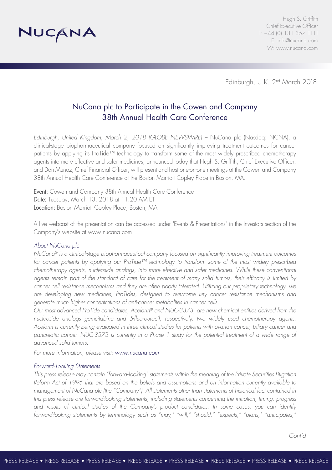

Hugh S. Griffith Chief Executive Officer T: +44 (0) 131 357 1111 E: info@nucana.com W: www.nucana.com

Edinburgh, U.K. 2nd March 2018

# NuCana plc to Participate in the Cowen and Company 38th Annual Health Care Conference

*Edinburgh, United Kingdom, March 2, 2018 (GLOBE NEWSWIRE)* – NuCana plc (Nasdaq: NCNA), a clinical-stage biopharmaceutical company focused on significantly improving treatment outcomes for cancer patients by applying its ProTide™ technology to transform some of the most widely prescribed chemotherapy agents into more effective and safer medicines, announced today that Hugh S. Griffith, Chief Executive Officer, and Don Munoz, Chief Financial Officer, will present and host one-on-one meetings at the Cowen and Company 38th Annual Health Care Conference at the Boston Marriott Copley Place in Boston, MA.

Event: Cowen and Company 38th Annual Health Care Conference Date: Tuesday, March 13, 2018 at 11:20 AM ET Location: Boston Marriott Copley Place, Boston, MA

A live webcast of the presentation can be accessed under "Events & Presentations" in the Investors section of the Company's website at www.nucana.com

### *About NuCana plc*

*NuCana® is a clinical-stage biopharmaceutical company focused on significantly improving treatment outcomes for cancer patients by applying our ProTide™ technology to transform some of the most widely prescribed chemotherapy agents, nucleoside analogs, into more effective and safer medicines. While these conventional agents remain part of the standard of care for the treatment of many solid tumors, their efficacy is limited by cancer cell resistance mechanisms and they are often poorly tolerated. Utilizing our proprietary technology, we are developing new medicines, ProTides, designed to overcome key cancer resistance mechanisms and generate much higher concentrations of anti-cancer metabolites in cancer cells.*

*Our most advanced ProTide candidates, Acelarin® and NUC-3373, are new chemical entities derived from the nucleoside analogs gemcitabine and 5-fluorouracil, respectively, two widely used chemotherapy agents. Acelarin is currently being evaluated in three clinical studies for patients with ovarian cancer, biliary cancer and pancreatic cancer. NUC-3373 is currently in a Phase 1 study for the potential treatment of a wide range of advanced solid tumors.*

*For more information, please visit: www.nucana.com*

#### *Forward-Looking Statements*

*This press release may contain "forward*‐*looking" statements within the meaning of the Private Securities Litigation Reform Act of 1995 that are based on the beliefs and assumptions and on information currently available to management of NuCana plc (the "Company"). All statements other than statements of historical fact contained in this press release are forward-looking statements, including statements concerning the initiation, timing, progress and results of clinical studies of the Company's product candidates. In some cases, you can identify forward-looking statements by terminology such as "may," "will," "should," "expects," "plans," "anticipates,"*

*Cont'd*